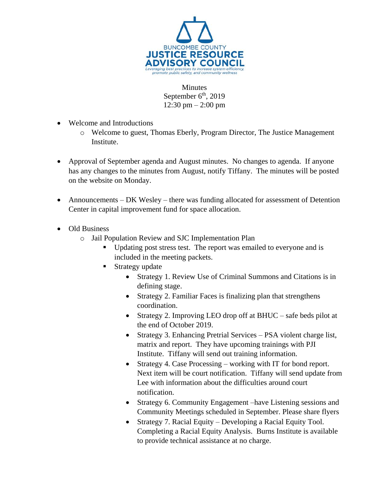

**Minutes** September  $6<sup>th</sup>$ , 2019 12:30 pm – 2:00 pm

- Welcome and Introductions
	- o Welcome to guest, Thomas Eberly, Program Director, The Justice Management Institute.
- Approval of September agenda and August minutes. No changes to agenda. If anyone has any changes to the minutes from August, notify Tiffany. The minutes will be posted on the website on Monday.
- Announcements DK Wesley there was funding allocated for assessment of Detention Center in capital improvement fund for space allocation.
- Old Business
	- o Jail Population Review and SJC Implementation Plan
		- Updating post stress test. The report was emailed to everyone and is included in the meeting packets.
		- Strategy update
			- Strategy 1. Review Use of Criminal Summons and Citations is in defining stage.
			- Strategy 2. Familiar Faces is finalizing plan that strengthens coordination.
			- Strategy 2. Improving LEO drop off at BHUC safe beds pilot at the end of October 2019.
			- Strategy 3. Enhancing Pretrial Services PSA violent charge list, matrix and report. They have upcoming trainings with PJI Institute. Tiffany will send out training information.
			- Strategy 4. Case Processing working with IT for bond report. Next item will be court notification. Tiffany will send update from Lee with information about the difficulties around court notification.
			- Strategy 6. Community Engagement –have Listening sessions and Community Meetings scheduled in September. Please share flyers
			- Strategy 7. Racial Equity Developing a Racial Equity Tool. Completing a Racial Equity Analysis. Burns Institute is available to provide technical assistance at no charge.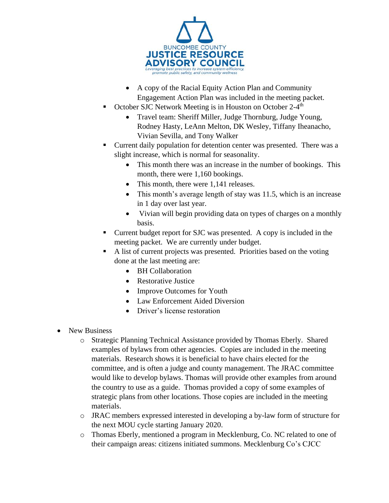

- A copy of the Racial Equity Action Plan and Community Engagement Action Plan was included in the meeting packet.
- October SJC Network Meeting is in Houston on October 2-4<sup>th</sup>
	- Travel team: Sheriff Miller, Judge Thornburg, Judge Young, Rodney Hasty, LeAnn Melton, DK Wesley, Tiffany Iheanacho, Vivian Sevilla, and Tony Walker
- Current daily population for detention center was presented. There was a slight increase, which is normal for seasonality.
	- This month there was an increase in the number of bookings. This month, there were 1,160 bookings.
	- This month, there were 1,141 releases.
	- This month's average length of stay was 11.5, which is an increase in 1 day over last year.
	- Vivian will begin providing data on types of charges on a monthly basis.
- Current budget report for SJC was presented. A copy is included in the meeting packet. We are currently under budget.
- A list of current projects was presented. Priorities based on the voting done at the last meeting are:
	- BH Collaboration
	- Restorative Justice
	- Improve Outcomes for Youth
	- Law Enforcement Aided Diversion
	- Driver's license restoration
- New Business
	- o Strategic Planning Technical Assistance provided by Thomas Eberly. Shared examples of bylaws from other agencies. Copies are included in the meeting materials. Research shows it is beneficial to have chairs elected for the committee, and is often a judge and county management. The JRAC committee would like to develop bylaws. Thomas will provide other examples from around the country to use as a guide. Thomas provided a copy of some examples of strategic plans from other locations. Those copies are included in the meeting materials.
	- o JRAC members expressed interested in developing a by-law form of structure for the next MOU cycle starting January 2020.
	- o Thomas Eberly, mentioned a program in Mecklenburg, Co. NC related to one of their campaign areas: citizens initiated summons. Mecklenburg Co's CJCC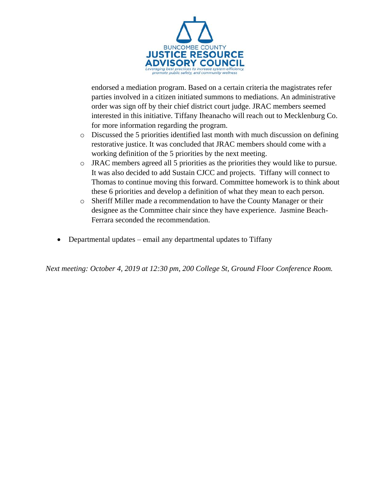

endorsed a mediation program. Based on a certain criteria the magistrates refer parties involved in a citizen initiated summons to mediations. An administrative order was sign off by their chief district court judge. JRAC members seemed interested in this initiative. Tiffany Iheanacho will reach out to Mecklenburg Co. for more information regarding the program.

- o Discussed the 5 priorities identified last month with much discussion on defining restorative justice. It was concluded that JRAC members should come with a working definition of the 5 priorities by the next meeting.
- o JRAC members agreed all 5 priorities as the priorities they would like to pursue. It was also decided to add Sustain CJCC and projects. Tiffany will connect to Thomas to continue moving this forward. Committee homework is to think about these 6 priorities and develop a definition of what they mean to each person.
- o Sheriff Miller made a recommendation to have the County Manager or their designee as the Committee chair since they have experience. Jasmine Beach-Ferrara seconded the recommendation.
- Departmental updates email any departmental updates to Tiffany

*Next meeting: October 4, 2019 at 12:30 pm, 200 College St, Ground Floor Conference Room.*